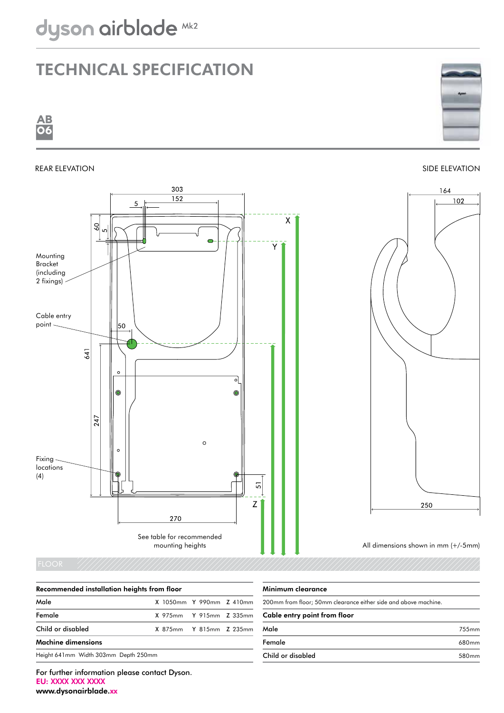## Technical specification









| Recommended installation heights from floor |  |  |  |  |
|---------------------------------------------|--|--|--|--|
|---------------------------------------------|--|--|--|--|

| Male                                 |                         | X 1050mm Y 990mm Z 410mm |  |
|--------------------------------------|-------------------------|--------------------------|--|
| Female                               | X 975mm Y 915mm Z 335mm |                          |  |
| Child or disabled                    |                         | X 875mm Y 815mm Z 235mm  |  |
| <b>Machine dimensions</b>            |                         |                          |  |
| Height 641mm Width 303mm Depth 250mm |                         |                          |  |

| Minimum clearance |
|-------------------|
|                   |

| 200mm from floor; 50mm clearance either side and above machine. |                   |  |  |
|-----------------------------------------------------------------|-------------------|--|--|
| Cable entry point from floor                                    |                   |  |  |
| Male                                                            | 755 <sub>mm</sub> |  |  |
| Female                                                          | 680 <sub>mm</sub> |  |  |
| Child or disabled                                               | 580 <sub>mm</sub> |  |  |

For further information please contact Dyson. EU: XXXX XXX XXXX www.dysonairblade.xx